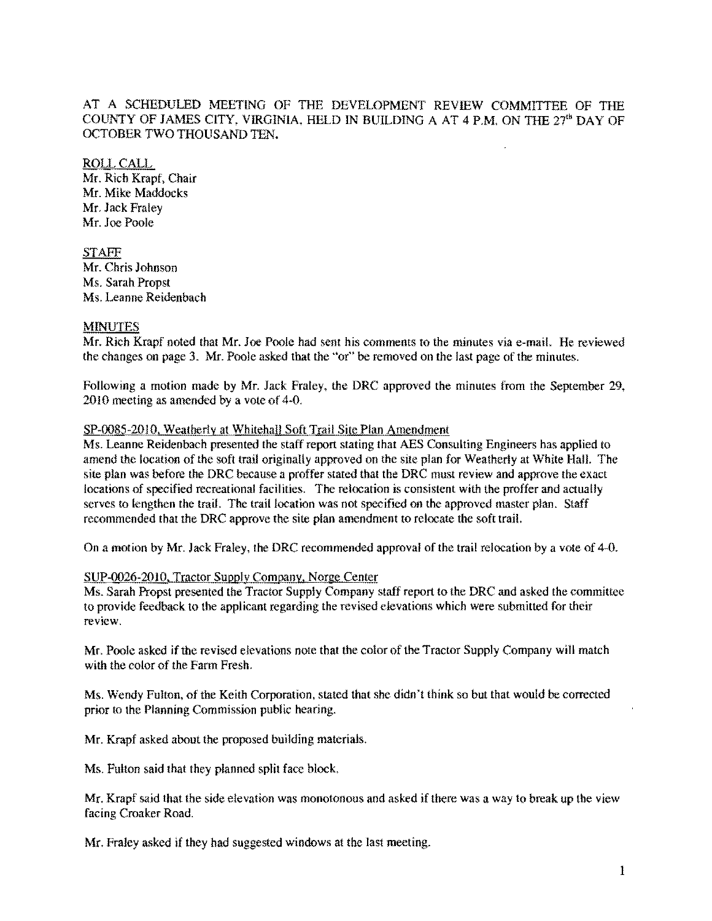# AT A SCHEDULED MEETING OF THE DEVELOPMENT REVIEW COMMITTEE OF THE COUNTY OF JAMES CITY, VIRGINIA, HELD IN BUILDING A AT 4 P.M. ON TIlE 27'" DAY OF OCTOBER TWO THOUSAND TEN.

ROLLCALL Mr. Rich Krapf, Chair Mr. Mike Maddocks Mr. Jack Fraley Mr. Joe Poole

STAFF Mr. Chris Johnson Ms. Sarah Propst Ms. Leanne Reidenbach

# **MINUTES**

Mr. Rich Krapf noted that Mr. Joe Poole had sent his comments to the minutes via e-mail. He reviewed the changes on page 3. Mr. Poole asked that the "or" be removed on the last page of the minutes.

Following a motion made by Mr. Jack Fraley, the DRC approved the minutes from the September 29, 2010 meeting as amended by a vote of 4-0.

### SP-0085-2010. Weatherly at Whitehall Soft Trail Site Plan Amendment

Ms. Leanne Reidenbach presented the staff report stating that AES Consulting Engineers has applied to amend the location of the soft trail originally approved on the site plan for Weatherly at White Hall. The site plan was before the DRC because a proffer stated that the DRC must review and approve the exact locations of speeified recreational facilities. The relocation is consistent with the proffer and actually serves to lengthen the trail. The trail location was not specified on the approved master plan. Staff recommended that the DRC approve the site plan amendment to relocate the soft trail.

On a motion by Mr. Jack Fraley, the DRC recommended approval of the trail relocation by a vote of 4-0.

### SUP-0026-20JO. Tractor SUDply Company, Norge Center

Ms. Sarah Propst presented the Tractor Supply Company staff report to the DRC and asked the committee to provide feedback to the applicant regarding the revised elevations which were submitted for their **review,** 

Mr. Poole asked if the revised elevations note that the color of the Tractor Supply Company will match with the color of the Farm Fresh.

Ms. Wendy Fulton, of the Keith Corporation, stated that she didn't think so but that would be corrected prior to the Planning Commission public hearing.

Mr. Krapf asked about the proposed building materials.

Ms. Fulton said that they planned split face block.

Mr. Krapf said that the side elevation was monotonous and asked if there was a way to break up the view facing Croaker Road.

Mr. Fraley asked if they had suggested windows at the last meeting.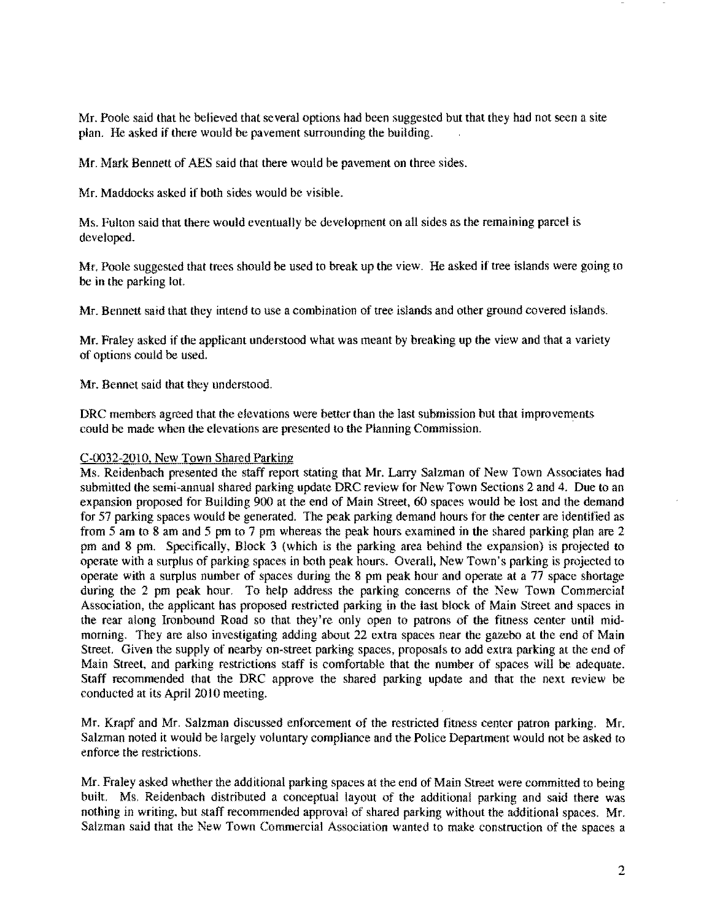Mr. Poole said that he believed that several options had been suggested but that they had not seen a site plan. He asked if there would be pavement surrounding the building.

Mr. Mark Bennett of AES said that there would be pavement on three sides.

Mr. Maddocks asked if both sides would be visible.

Ms. Fulton said that there would eventually be development on all sides as the remaining pareel is developed.

Mr. Poole suggested that trees should be used to break up the view. He asked if tree islands were going to be in the parking lot.

Mr. Bennett said that they intend to use a combination of tree islands and other ground covered islands.

Mr. Fraley asked if the applicant understood what was meant by breaking up the view and that a variety of options could be used.

Mr. Bennet said that they understood.

DRC members agreed that the elevations were better than the last submission but that improvements could be made when the elevations are presented to the Planning Commission.

# C-0032-201O, New Town Shared Parking

Ms. Reidenbach presented the staff report stating that Mr. Larry Salzman of New Town Associates had submitted the semi-annual shared parking update DRC review for New Town Sections 2 and 4. Due to an expansion proposed for Building 900 at the end of Main Street, 60 spaces would be lost and the demand for 57 parking spaces would be generated. The peak parking demand hours for the center are identified as from 5 am to 8 am and 5 pm to 7 pm whereas the peak hours examined in the shared parking plan are 2 pm and 8 pm. Specifically, Block 3 (which is the parking area behind the expansion) is projected to operate with a surplus of parking spaces in both peak hours. Overall, New Town's parking is projected to operate with a surplus number of spaces during the 8 pm peak hour and operate at a 77 space shortage during the 2 pm peak hour. To help address the parking concerns of the New Town Commercial Association, the applicant has proposed restricted parking in the last block of Main Street and spaces in the rear along Ironbound Road so that they're only open to patrons of the fitness center until midmorning. They are also investigating adding about 22 extra spaces near the gazebo at the end of Main Street. Given the supply of nearby on-street parking spaces, proposals to add extra parking at the end of Main Street, and parking restrictions staff is comfortable that the number of spaces will be adequate. Staff recommended that the DRC approve the shared parking update and that the next review be conducted at its April 2010 meeting.

Mr. Krapf and Mr. Salzman discussed enforcement of the restricted fitness center patron parking. Mr. Salzman noted it would be largely voluntary compliance and the Police Department would not be asked to enforce the restrictions.

Mr. Fraley asked whether the additional parking spaces at the end of Main Street were committed to being built. Ms. Reidenbach distributed a conceptual layout of the additional parking and said there was nothing in writing, but staff recommended approval of shared parking without the additional spaces. Mr. Salzman said that the New Town Commercial Association wanted to make construction of the spaces a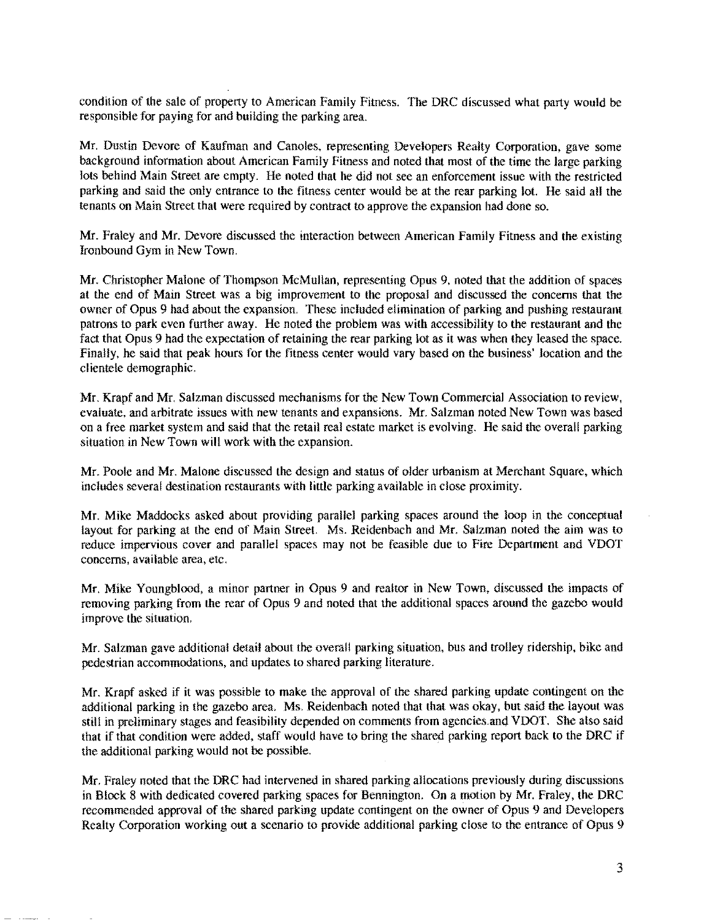condition of the sale of property to American Family Fitness. The DRC diseussed what party would be responsible for paying for and building the parking area.

Mr. Dustin Devore of Kaufman and Canoles, representing Developers Realty Corporation, gave some background information about American Family Fimess and noted that most of the time the large parking lots behind Main Street are empty. He noted that he did not see an enforcement issue with the restricted parking and said the only entrance to the fitness center would be at the rear parking lot. He said all the tenants on Main Street that were required by contract to approve the expansion had done so.

Mr. Fraley and Mr. Devore diseussed the interaction between American Family Fitness and the existing Ironbound Gym in New Town.

Mr. Christopher Malone of Thompson McMullan, representing Opus 9. noted that the addition of spaces at the end of Main Street was a big improvement to the proposal and diseussed the concerns that the owner of Opus 9 had about the expansion. These included elimination of parking and pushing restaurant patrons to park even further away. He noted the problem was with accessibility to the restaurant and Ihe fact that Opus 9 had the expectation of retaining the rear parking lot as it was when they leased the space. Finally, he said that peak hours for the fitness center would vary based on the business' location and the clientele demographic.

Mr. Krapf and Mr. Salzman discussed mechanisms for the New Town Commercial Association to review, evaluate, and arbitrate issues with new tenants and expansions. Mr. Salzman noted New Town was based on a free market system and said that the retail real estate market is evolving. He said the overall parking situation in New Town will work with the expansion.

Mr. Poole and Mr. Malone discussed the design and status of older urbanism at Merchant Square, which includes several destination restaurants with little parking available in close proximity.

Mr. Mike Maddocks asked about providing parallel parking spaces around the loop in the conceptual layout for parking at the end of Main Street. Ms. Reidenbach and Mr. Salzman noted the aim was to reduce impervious cover and parallel spaces may not be feasible due to Fire Department and VDOT concerns, available area, etc.

Mr. Mike Youngblood, a minor partner in Opus 9 and realtor in New Town, discussed the impacts of removing parking from the rear of Opus 9 and noted that the additional spaces around the gazebo would improve the situation.

Mr. Salzman gave additional detail about the overall parking situation, bus and trolley ridership, bike and pedestrian accommodations, and updates to shared parking literature.

Mr. Krapf asked if it was possible to make the approval of the shared parking update contingent on the additional parking in the gazebo area. Ms. Reidenbach noted that that was okay, but said the layout was still in preliminary stages and feasibility depended on comments from agencies and VDOT, She also said that if that condition were added, staff would have to bring the shared parking report back to the DRC if the additional parking would not be possible.

Mr. Fraley noted that the DRC had intervened in shared parking allocations previously during diseussions in Block 8 with dedicated covered parking spaces for Bennington. On a motion by Mr. Fraley, the DRC recommended approval of the shared parking update contingent on the owner of Opus 9 and Developers Realty Corporation working out a scenario to provide additional parking close to the entrance of Opus 9